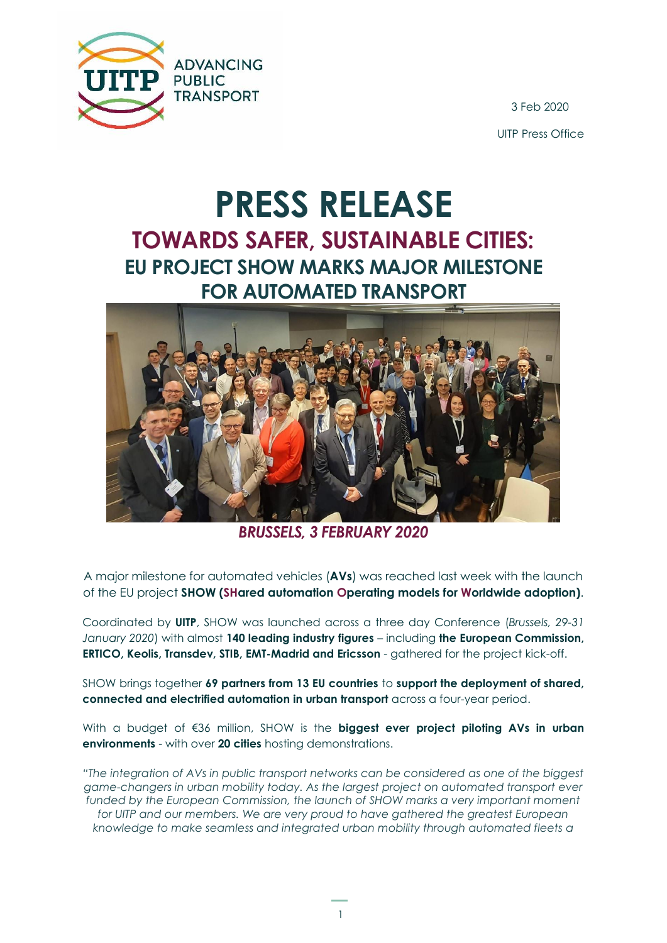

3 Feb 2020 UITP Press Office

## **PRESS RELEASE TOWARDS SAFER, SUSTAINABLE CITIES: EU PROJECT SHOW MARKS MAJOR MILESTONE FOR AUTOMATED TRANSPORT**



*BRUSSELS, 3 FEBRUARY 2020*

A major milestone for automated vehicles (**AVs**) was reached last week with the launch of the EU project **SHOW (SHared automation Operating models for Worldwide adoption)**.

Coordinated by **UITP**, SHOW was launched across a three day Conference (*Brussels, 29-31 January 2020*) with almost **140 leading industry figures** – including **the European Commission, ERTICO, Keolis, Transdev, STIB, EMT-Madrid and Ericsson** - gathered for the project kick-off.

SHOW brings together **69 partners from 13 EU countries** to **support the deployment of shared, connected and electrified automation in urban transport** across a four-year period.

With a budget of €36 million, SHOW is the **biggest ever project piloting AVs in urban environments** - with over **20 cities** hosting demonstrations.

*"The integration of AVs in public transport networks can be considered as one of the biggest game-changers in urban mobility today. As the largest project on automated transport ever*  funded by the European Commission, the launch of SHOW marks a very important moment for UITP and our members. We are very proud to have gathered the greatest European *knowledge to make seamless and integrated urban mobility through automated fleets a*